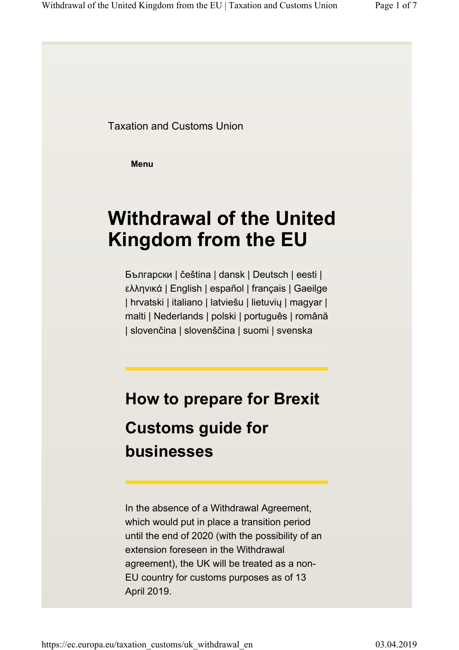Taxation and Customs Union

**Menu**

# **Withdrawal of the United Kingdom from the EU**

Български | čeština | dansk | Deutsch | eesti | ελληνικά | English | español | français | Gaeilge | hrvatski | italiano | latviešu | lietuvių | magyar | malti | Nederlands | polski | português | română | slovenčina | slovenščina | suomi | svenska

# **How to prepare for Brexit Customs guide for businesses**

In the absence of a Withdrawal Agreement, which would put in place a transition period until the end of 2020 (with the possibility of an extension foreseen in the Withdrawal agreement), the UK will be treated as a non-EU country for customs purposes as of 13 April 2019.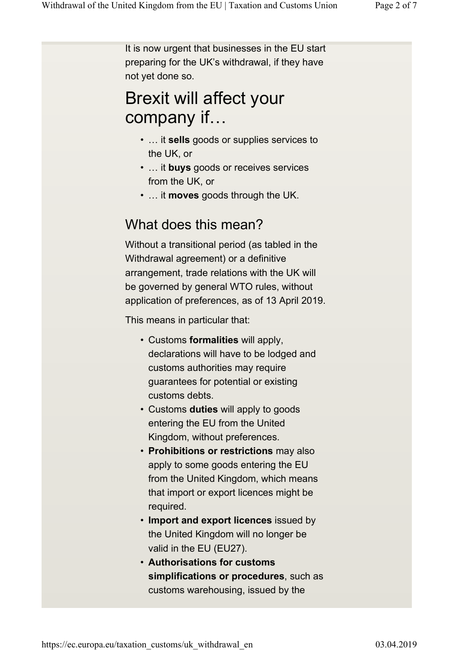It is now urgent that businesses in the EU start preparing for the UK's withdrawal, if they have not yet done so.

## Brexit will affect your company if…

- … it **sells** goods or supplies services to the UK, or
- … it **buys** goods or receives services from the UK, or
- … it **moves** goods through the UK.

### What does this mean?

Without a transitional period (as tabled in the Withdrawal agreement) or a definitive arrangement, trade relations with the UK will be governed by general WTO rules, without application of preferences, as of 13 April 2019.

This means in particular that:

- Customs **formalities** will apply, declarations will have to be lodged and customs authorities may require guarantees for potential or existing customs debts.
- Customs **duties** will apply to goods entering the EU from the United Kingdom, without preferences.
- **Prohibitions or restrictions** may also apply to some goods entering the EU from the United Kingdom, which means that import or export licences might be required.
- **Import and export licences** issued by the United Kingdom will no longer be valid in the EU (EU27).
- **Authorisations for customs simplifications or procedures**, such as customs warehousing, issued by the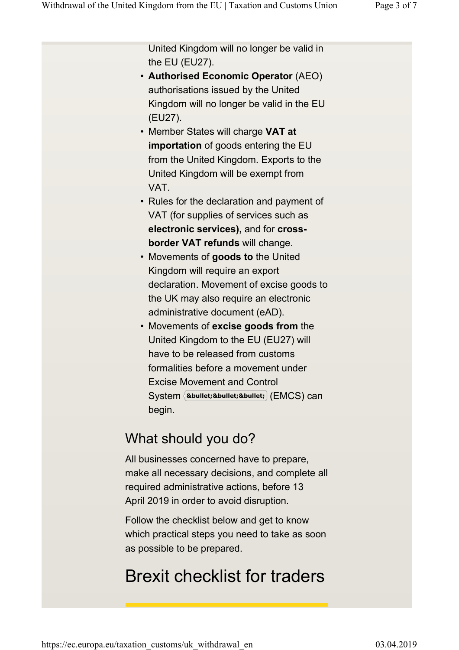United Kingdom will no longer be valid in the EU (EU27).

- **Authorised Economic Operator** (AEO) authorisations issued by the United Kingdom will no longer be valid in the EU (EU27).
- Member States will charge **VAT at importation** of goods entering the EU from the United Kingdom. Exports to the United Kingdom will be exempt from VAT.
- Rules for the declaration and payment of VAT (for supplies of services such as **electronic services),** and for **crossborder VAT refunds** will change.
- Movements of **goods to** the United Kingdom will require an export declaration. Movement of excise goods to the UK may also require an electronic administrative document (eAD).
- Movements of **excise goods from** the United Kingdom to the EU (EU27) will have to be released from customs formalities before a movement under Excise Movement and Control  $\mathsf{System}\left\{\texttt{\textbf{•}};\texttt{\textbf{•}};\texttt{\textbf{•}};\right\}(\mathsf{EMCS})\ \textsf{can}$ begin.

### What should you do?

All businesses concerned have to prepare, make all necessary decisions, and complete all required administrative actions, before 13 April 2019 in order to avoid disruption.

Follow the checklist below and get to know which practical steps you need to take as soon as possible to be prepared.

## Brexit checklist for traders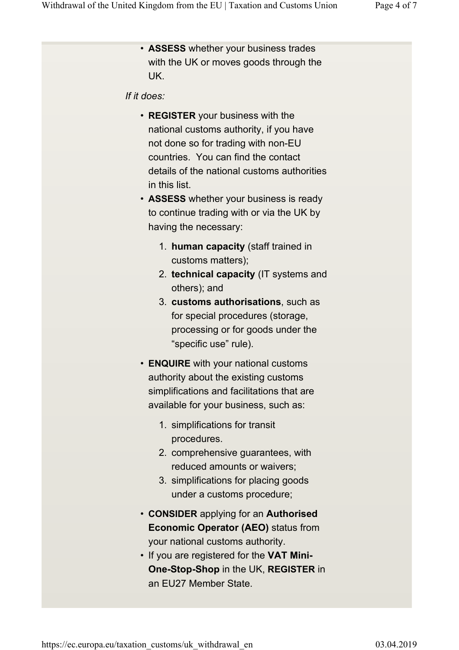• **ASSESS** whether your business trades with the UK or moves goods through the UK.

#### *If it does:*

- **REGISTER** your business with the national customs authority, if you have not done so for trading with non-EU countries. You can find the contact details of the national customs authorities in this list.
- **ASSESS** whether your business is ready to continue trading with or via the UK by having the necessary:
	- 1. **human capacity** (staff trained in customs matters);
	- 2. **technical capacity** (IT systems and others); and
	- 3. **customs authorisations**, such as for special procedures (storage, processing or for goods under the "specific use" rule).
- **ENQUIRE** with your national customs authority about the existing customs simplifications and facilitations that are available for your business, such as:
	- 1. simplifications for transit procedures.
	- 2. comprehensive guarantees, with reduced amounts or waivers;
	- 3. simplifications for placing goods under a customs procedure;
- **CONSIDER** applying for an **Authorised Economic Operator (AEO)** status from your national customs authority.
- If you are registered for the **VAT Mini-One-Stop-Shop** in the UK, **REGISTER** in an EU27 Member State.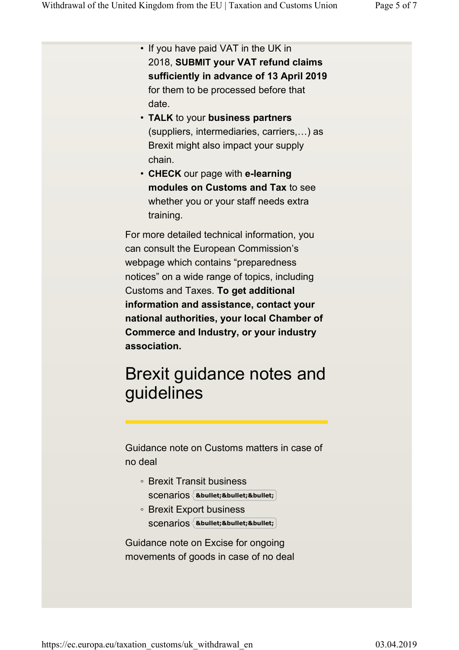| • If you have paid VAT in the UK in<br>2018, SUBMIT your VAT refund claims<br>sufficiently in advance of 13 April 2019<br>for them to be processed before that<br>date.<br>• TALK to your business partners<br>(suppliers, intermediaries, carriers,) as<br>Brexit might also impact your supply<br>chain.<br>• CHECK our page with e-learning<br>modules on Customs and Tax to see<br>whether you or your staff needs extra<br>training. |
|-------------------------------------------------------------------------------------------------------------------------------------------------------------------------------------------------------------------------------------------------------------------------------------------------------------------------------------------------------------------------------------------------------------------------------------------|
| For more detailed technical information, you<br>can consult the European Commission's<br>webpage which contains "preparedness"<br>notices" on a wide range of topics, including<br>Customs and Taxes. To get additional<br>information and assistance, contact your<br>national authorities, your local Chamber of<br><b>Commerce and Industry, or your industry</b><br>association.                                                      |
| Brexit guidance notes and<br>guidelines<br>Guidance note on Customs matters in case of<br>no deal                                                                                                                                                                                                                                                                                                                                         |

- Brexit Transit business SC<del>C</del>NATIOS {&bullet;&bullet;&bullet;
- Brexit Export business SC<del>C</del>NATIOS {&bullet;&bullet;&bullet;

Guidance note on Excise for ongoing movements of goods in case of no deal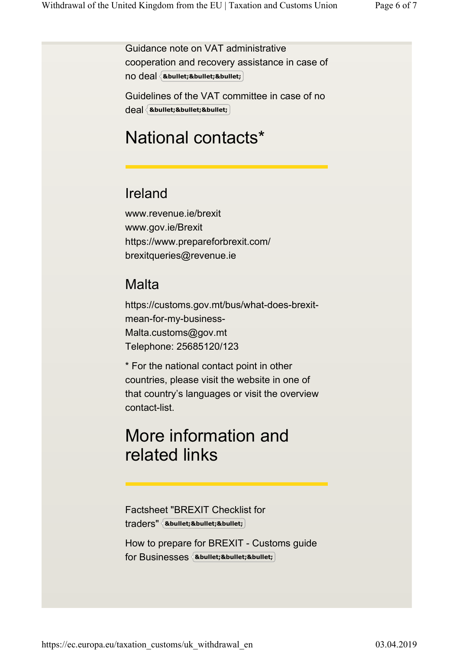Guidance note on VAT administrative cooperation and recovery assistance in case of no deal **•••**

Guidelines of the VAT committee in case of no deal **•••**

## National contacts\*

### Ireland

www.revenue.ie/brexit www.gov.ie/Brexit https://www.prepareforbrexit.com/ brexitqueries@revenue.ie

### **Malta**

https://customs.gov.mt/bus/what-does-brexitmean-for-my-business-Malta.customs@gov.mt Telephone: 25685120/123

\* For the national contact point in other countries, please visit the website in one of that country's languages or visit the overview contact-list.

## More information and related links

Factsheet "BREXIT Checklist for traders" **•••**

How to prepare for BREXIT - Customs guide for Businesses **•••**